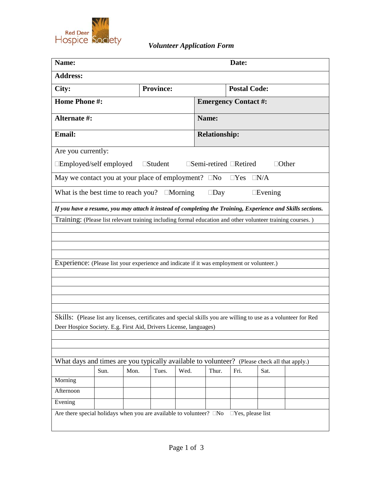

| Name:                                                                                                      |                  |      |                   |      | Date:                                    |            |                |                                                                                                                  |
|------------------------------------------------------------------------------------------------------------|------------------|------|-------------------|------|------------------------------------------|------------|----------------|------------------------------------------------------------------------------------------------------------------|
| <b>Address:</b>                                                                                            |                  |      |                   |      |                                          |            |                |                                                                                                                  |
| City:                                                                                                      | <b>Province:</b> |      |                   |      | <b>Postal Code:</b>                      |            |                |                                                                                                                  |
| <b>Home Phone #:</b>                                                                                       |                  |      |                   |      | <b>Emergency Contact #:</b>              |            |                |                                                                                                                  |
| Alternate #:                                                                                               |                  |      |                   |      | Name:                                    |            |                |                                                                                                                  |
| <b>Email:</b>                                                                                              |                  |      |                   |      | <b>Relationship:</b>                     |            |                |                                                                                                                  |
| Are you currently:                                                                                         |                  |      |                   |      |                                          |            |                |                                                                                                                  |
| □Employed/self employed                                                                                    |                  |      | $\square$ Student |      | $\square$ Semi-retired $\square$ Retired |            |                | $\Box$ Other                                                                                                     |
| May we contact you at your place of employment? $\square$ No                                               |                  |      |                   |      |                                          | $\Box$ Yes | $\Box N/A$     |                                                                                                                  |
| What is the best time to reach you? $\Box$ Morning                                                         |                  |      |                   |      | $\square$ Day                            |            | $\Box$ Evening |                                                                                                                  |
|                                                                                                            |                  |      |                   |      |                                          |            |                | If you have a resume, you may attach it instead of completing the Training, Experience and Skills sections.      |
|                                                                                                            |                  |      |                   |      |                                          |            |                |                                                                                                                  |
| Training: (Please list relevant training including formal education and other volunteer training courses.) |                  |      |                   |      |                                          |            |                |                                                                                                                  |
|                                                                                                            |                  |      |                   |      |                                          |            |                |                                                                                                                  |
|                                                                                                            |                  |      |                   |      |                                          |            |                |                                                                                                                  |
|                                                                                                            |                  |      |                   |      |                                          |            |                |                                                                                                                  |
|                                                                                                            |                  |      |                   |      |                                          |            |                |                                                                                                                  |
| Experience: (Please list your experience and indicate if it was employment or volunteer.)                  |                  |      |                   |      |                                          |            |                |                                                                                                                  |
|                                                                                                            |                  |      |                   |      |                                          |            |                |                                                                                                                  |
|                                                                                                            |                  |      |                   |      |                                          |            |                |                                                                                                                  |
|                                                                                                            |                  |      |                   |      |                                          |            |                |                                                                                                                  |
|                                                                                                            |                  |      |                   |      |                                          |            |                |                                                                                                                  |
|                                                                                                            |                  |      |                   |      |                                          |            |                | Skills: (Please list any licenses, certificates and special skills you are willing to use as a volunteer for Red |
| Deer Hospice Society. E.g. First Aid, Drivers License, languages)                                          |                  |      |                   |      |                                          |            |                |                                                                                                                  |
|                                                                                                            |                  |      |                   |      |                                          |            |                |                                                                                                                  |
|                                                                                                            |                  |      |                   |      |                                          |            |                |                                                                                                                  |
| What days and times are you typically available to volunteer? (Please check all that apply.)               |                  |      |                   |      |                                          |            |                |                                                                                                                  |
|                                                                                                            | Sun.             | Mon. | Tues.             | Wed. | Thur.                                    | Fri.       | Sat.           |                                                                                                                  |
| Morning                                                                                                    |                  |      |                   |      |                                          |            |                |                                                                                                                  |
| Afternoon                                                                                                  |                  |      |                   |      |                                          |            |                |                                                                                                                  |
| Evening                                                                                                    |                  |      |                   |      |                                          |            |                |                                                                                                                  |
| Are there special holidays when you are available to volunteer? $\square$ No $\square$ Yes, please list    |                  |      |                   |      |                                          |            |                |                                                                                                                  |
|                                                                                                            |                  |      |                   |      |                                          |            |                |                                                                                                                  |
|                                                                                                            |                  |      |                   |      |                                          |            |                |                                                                                                                  |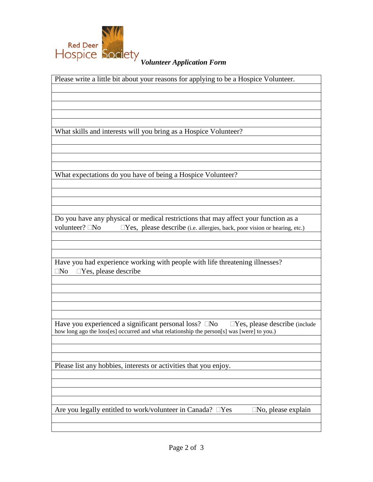

Please write a little bit about your reasons for applying to be a Hospice Volunteer. What skills and interests will you bring as a Hospice Volunteer? What expectations do you have of being a Hospice Volunteer? Do you have any physical or medical restrictions that may affect your function as a volunteer?  $\Box$ No  $\Box$ Yes, please describe (i.e. allergies, back, poor vision or hearing, etc.) Have you had experience working with people with life threatening illnesses?  $\Box$ No  $\Box$ Yes, please describe Have you experienced a significant personal loss?  $\square$ No  $\square$ Yes, please describe (include how long ago the loss[es] occurred and what relationship the person[s] was [were] to you.) Please list any hobbies, interests or activities that you enjoy. Are you legally entitled to work/volunteer in Canada?  $\square$  Yes  $\square$  No, please explain